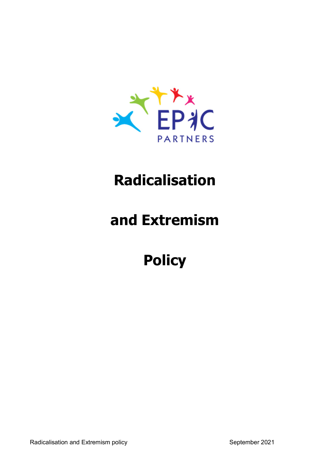

### **Radicalisation**

# **and Extremism**

# **Policy**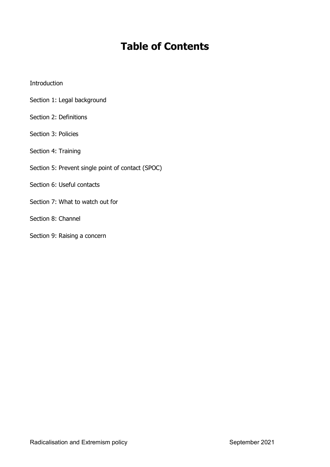### **Table of Contents**

#### Introduction

- Section 1: Legal background
- Section 2: Definitions
- Section 3: Policies
- Section 4: Training
- Section 5: Prevent single point of contact (SPOC)
- Section 6: Useful contacts
- Section 7: What to watch out for
- Section 8: Channel
- Section 9: Raising a concern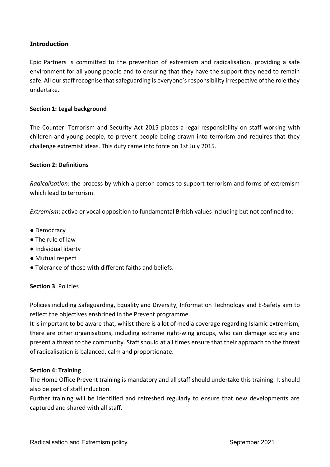#### **Introduction**

Epic Partners is committed to the prevention of extremism and radicalisation, providing a safe environment for all young people and to ensuring that they have the support they need to remain safe. All our staff recognise that safeguarding is everyone's responsibility irrespective of the role they undertake.

#### **Section 1: Legal background**

The Counter--Terrorism and Security Act 2015 places a legal responsibility on staff working with children and young people, to prevent people being drawn into terrorism and requires that they challenge extremist ideas. This duty came into force on 1st July 2015.

#### **Section 2: Definitions**

*Radicalisation*: the process by which a person comes to support terrorism and forms of extremism which lead to terrorism.

*Extremism*: active or vocal opposition to fundamental British values including but not confined to:

- Democracy
- The rule of law
- Individual liberty
- Mutual respect
- Tolerance of those with different faiths and beliefs.

#### **Section 3**: Policies

Policies including Safeguarding, Equality and Diversity, Information Technology and E-Safety aim to reflect the objectives enshrined in the Prevent programme.

It is important to be aware that, whilst there is a lot of media coverage regarding Islamic extremism, there are other organisations, including extreme right-wing groups, who can damage society and present a threat to the community. Staff should at all times ensure that their approach to the threat of radicalisation is balanced, calm and proportionate.

#### **Section 4: Training**

The Home Office Prevent training is mandatory and all staff should undertake this training. It should also be part of staff induction.

Further training will be identified and refreshed regularly to ensure that new developments are captured and shared with all staff.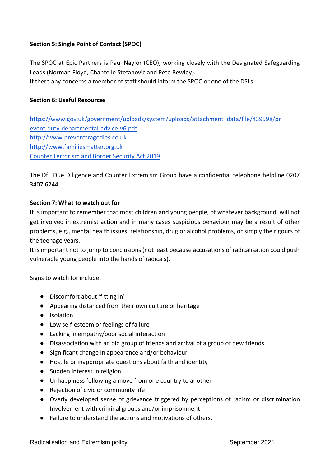#### **Section 5: Single Point of Contact (SPOC)**

The SPOC at Epic Partners is Paul Naylor (CEO), working closely with the Designated Safeguarding Leads (Norman Floyd, Chantelle Stefanovic and Pete Bewley).

If there any concerns a member of staff should inform the SPOC or one of the DSLs.

#### **Section 6: Useful Resources**

https://www.gov.uk/government/uploads/system/uploads/attachment\_data/file/439598/pr event-duty-departmental-advice-v6.pdf http://www.preventtragedies.co.uk http://www.familiesmatter.org.uk Counter Terrorism and Border Security Act 2019

The DfE Due Diligence and Counter Extremism Group have a confidential telephone helpline 0207 3407 6244.

#### **Section 7: What to watch out for**

It is important to remember that most children and young people, of whatever background, will not get involved in extremist action and in many cases suspicious behaviour may be a result of other problems, e.g., mental health issues, relationship, drug or alcohol problems, or simply the rigours of the teenage years.

It is important not to jump to conclusions (not least because accusations of radicalisation could push vulnerable young people into the hands of radicals).

Signs to watch for include:

- Discomfort about 'fitting in'
- Appearing distanced from their own culture or heritage
- Isolation
- Low self-esteem or feelings of failure
- Lacking in empathy/poor social interaction
- Disassociation with an old group of friends and arrival of a group of new friends
- Significant change in appearance and/or behaviour
- Hostile or inappropriate questions about faith and identity
- Sudden interest in religion
- Unhappiness following a move from one country to another
- Rejection of civic or community life
- Overly developed sense of grievance triggered by perceptions of racism or discrimination Involvement with criminal groups and/or imprisonment
- Failure to understand the actions and motivations of others.